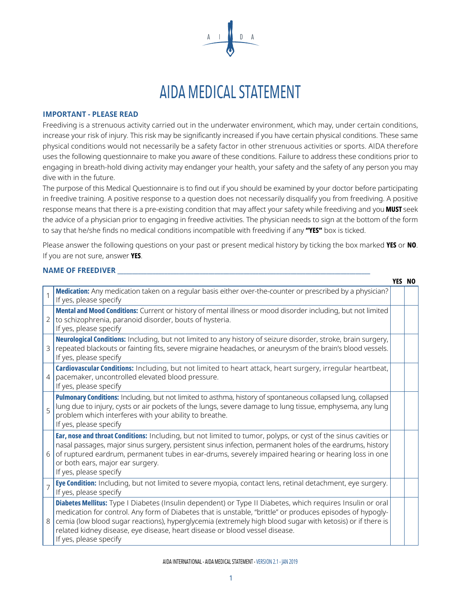

## AIDA MEDICAL STATEMENT

## **IMPORTANT - PLEASE READ**

Freediving is a strenuous activity carried out in the underwater environment, which may, under certain conditions, increase your risk of injury. This risk may be significantly increased if you have certain physical conditions. These same physical conditions would not necessarily be a safety factor in other strenuous activities or sports. AIDA therefore uses the following questionnaire to make you aware of these conditions. Failure to address these conditions prior to engaging in breath-hold diving activity may endanger your health, your safety and the safety of any person you may dive with in the future.

The purpose of this Medical Questionnaire is to find out if you should be examined by your doctor before participating in freedive training. A positive response to a question does not necessarily disqualify you from freediving. A positive response means that there is a pre-existing condition that may affect your safety while freediving and you **MUST** seek the advice of a physician prior to engaging in freedive activities. The physician needs to sign at the bottom of the form to say that he/she finds no medical conditions incompatible with freediving if any "YES" box is ticked.

Please answer the following questions on your past or present medical history by ticking the box marked YES or NO. If you are not sure, answer YES.

NO YES

| <b>NAME OF FREEDIVER</b> |  |
|--------------------------|--|
|                          |  |

|                |                                                                                                                                                                                                                                                                                                                                                                                                                                               | YES NU |
|----------------|-----------------------------------------------------------------------------------------------------------------------------------------------------------------------------------------------------------------------------------------------------------------------------------------------------------------------------------------------------------------------------------------------------------------------------------------------|--------|
|                | Medication: Any medication taken on a regular basis either over-the-counter or prescribed by a physician?<br>If yes, please specify                                                                                                                                                                                                                                                                                                           |        |
| $\overline{2}$ | Mental and Mood Conditions: Current or history of mental illness or mood disorder including, but not limited<br>to schizophrenia, paranoid disorder, bouts of hysteria.<br>If yes, please specify                                                                                                                                                                                                                                             |        |
| 3              | Neurological Conditions: Including, but not limited to any history of seizure disorder, stroke, brain surgery,<br>repeated blackouts or fainting fits, severe migraine headaches, or aneurysm of the brain's blood vessels.<br>If yes, please specify                                                                                                                                                                                         |        |
| $\overline{4}$ | Cardiovascular Conditions: Including, but not limited to heart attack, heart surgery, irregular heartbeat,<br>pacemaker, uncontrolled elevated blood pressure.<br>If yes, please specify                                                                                                                                                                                                                                                      |        |
| $\overline{5}$ | Pulmonary Conditions: Including, but not limited to asthma, history of spontaneous collapsed lung, collapsed<br>lung due to injury, cysts or air pockets of the lungs, severe damage to lung tissue, emphysema, any lung<br>problem which interferes with your ability to breathe.<br>If yes, please specify                                                                                                                                  |        |
| 6              | Ear, nose and throat Conditions: Including, but not limited to tumor, polyps, or cyst of the sinus cavities or<br>nasal passages, major sinus surgery, persistent sinus infection, permanent holes of the eardrums, history<br>of ruptured eardrum, permanent tubes in ear-drums, severely impaired hearing or hearing loss in one<br>or both ears, major ear surgery.<br>If yes, please specify                                              |        |
|                | Eye Condition: Including, but not limited to severe myopia, contact lens, retinal detachment, eye surgery.<br>If yes, please specify                                                                                                                                                                                                                                                                                                          |        |
| 8              | Diabetes Mellitus: Type I Diabetes (Insulin dependent) or Type II Diabetes, which requires Insulin or oral<br>medication for control. Any form of Diabetes that is unstable, "brittle" or produces episodes of hypogly-<br>cemia (low blood sugar reactions), hyperglycemia (extremely high blood sugar with ketosis) or if there is<br>related kidney disease, eye disease, heart disease or blood vessel disease.<br>If yes, please specify |        |